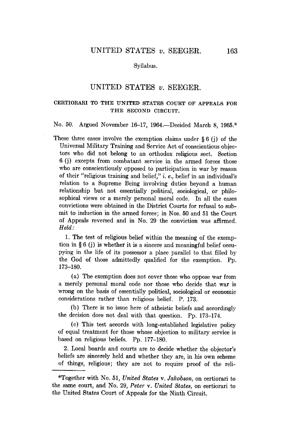#### Syllabus.

# UNITED STATES *v.* SEEGER.

#### CERTIORARI TO **THE UNITED STATES COURT OF APPEALS FOR** THE **SECOND** CIRCUIT.

# No. 50. Argued November 16-17, 1964.-Decided March 8, 1965.\*

These three cases involve the exemption claims under § 6 **(j)** of the Universal Military Training and Service Act of conscientious objectors who did not belong to an orthodox religious sect. Section 6 (j) excepts from combatant service in the armed forces those who are conscientiously opposed to participation in war by reason of their "religious training and belief," *i. e.,* belief in an individual's relation to a Supreme Being involving duties beyond a human relationship but not essentially political, sociological, or philosophical views or a merely personal moral code. In all the cases convictions were obtained in the District Courts for refusal to submit to induction in the armed forces; in Nos. 50 and 51 the Court of Appeals reversed and in No. 29 the conviction was affirmed. *Held:*

1. The test of religious belief within the meaning of the exemption in § 6 (j) is whether it is a sincere and meaningful belief occupying in the life of its possessor a place parallel to that filled by the God of those admittedly qualified for the exemption. Pp. 173-180.

(a) The exemption does not cover those who oppose war from a merely personal moral code nor those who decide that war is wrong on the basis of essentially political, sociological or economic considerations rather than religious belief. P. 173.

(b) There is no issue here of atheistic beliefs and accordingly the decision does not deal with that question. Pp. 173-174.

(c) This test accords with long-established legislative policy of equal treatment for those whose objection to military service is based on religious beliefs. Pp. 177-180.

2. Local boards and courts are to decide whether the objector's beliefs are sincerely held and whether they are, in his own scheme of things, religious; they are not to require proof of the reli-

<sup>\*</sup>Together with No. 51, *United States v. Jakobson,* on certiorari to the same court, and No. 29, *Peter* v. *United States,* on certiorari to the United States Court of Appeals for the Ninth Circuit.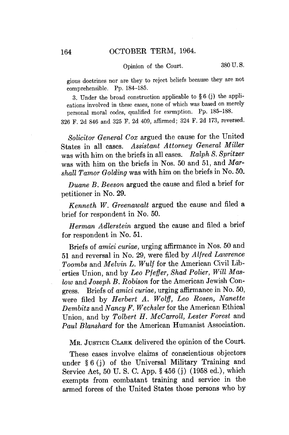gious doctrines nor are they to reject beliefs because they are not comprehensible. Pp. 184-185.

3. Under the broad construction applicable to § 6 (j) the applications involved in these cases, none of which was based on merely personal moral codes, qualified for exemption. Pp. 185-188.

326 F. 2d 846 and 325 F. 2d 409, affirmed; 324 F. 2d 173, reversed.

*Solicitor General Cox* argued the cause for the United States in all cases. *Assistant Attorney General Miller* was with him on the briefs in all cases. *Ralph S. Spritzer* was with him on the briefs in Nos. 50 and 51, and *Marshall Tamor Golding* was with him on the briefs in No. 50.

*Duane B. Beeson* argued the cause and filed a brief for petitioner in No. 29.

*Kenneth W. Greenawalt* argued the cause and filed a brief for respondent in No. 50.

*Herman Adlerstein* argued the cause and filed a brief for respondent in No. 51.

Briefs of *amici curiae,* urging affirmance in Nos. 50 and 51 and reversal in No. 29, were filed by *Alfred Lawrence Toombs* and *Melvin L. Wulf* for the American Civil Liberties Union, and by *Leo Pfeffer, Shad Polier, Will Maslow* and *Joseph B. Robison* for the American Jewish Congress. Briefs of *amici curiae,* urging affirmance in No. 50, were filed by *Herbert A. Wolff, Leo Rosen, Nanette Dembitz* and *Nancy F. Wechsler* for the American Ethical Union, and by *Tolbert H. McCarroll, Lester Forest* and *Paul Blanshard* for the American Humanist Association.

MR. **JUSTICE** CLARK delivered the opinion of the Court.

These cases involve claims of conscientious objectors under § 6 (j) of the Universal Military Training and Service Act, 50 U. S. C. App. § 456 (j) (1958 ed.), which exempts from combatant training and service in the armed forces of the United States those persons who by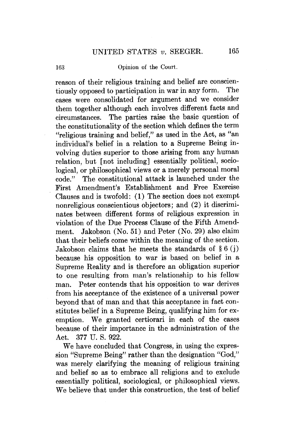reason of their religious training and belief are conscientiously opposed to participation in war in any form. The cases were consolidated for argument and we consider them together although each involves different facts and circumstances. The parties raise the basic question of the constitutionality of the section which defines the term "religious training and belief," as used in the Act, as "an individual's belief in a relation to a Supreme Being involving duties superior to those arising from any human relation, but [not including] essentially political, sociological, or philosophical views or a merely personal moral code." The constitutional attack is launched under the First Amendment's Establishment and Free Exercise Clauses and is twofold: (1) The section does not exempt nonreligious conscientious objectors; and (2) it discriminates between different forms of religious expression in violation of the Due Process Clause of the Fifth Amendment. Jakobson (No. 51) and Peter (No. 29) also claim that their beliefs come within the meaning of the section. Jakobson claims that he meets the standards of § 6 **(j)** because his opposition to war is based on belief in a Supreme Reality and is therefore an obligation superior to one resulting from man's relationship to his fellow man. Peter contends that his opposition to war derives from his acceptance of the existence of a universal power beyond that of man and that this acceptance in fact constitutes belief in a Supreme Being, qualifying him for exemption. We granted certiorari in each of the cases because of their importance in the administration of the Act. 377 U. **S.** 922.

We have concluded that Congress, in using the expression "Supreme Being" rather than the designation "God," was merely clarifying the meaning of religious training and belief so as to embrace all religions and to exclude essentially political, sociological, or philosophical views. We believe that under this construction, the test of belief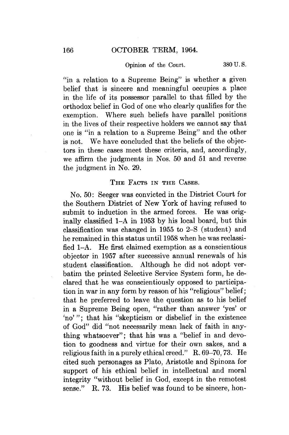"in a relation to a Supreme Being" is whether a given belief that is sincere and meaningful occupies a place in the life of its possessor parallel to that filled by the orthodox belief in God of one who clearly qualifies for the exemption. Where such beliefs have parallel positions in the lives of their respective holders we cannot say that one is *"in* a relation to a Supreme Being" and the other is not. We have concluded that the beliefs of the objectors in these cases meet these criteria, and, accordingly, we affirm the judgments in Nos. 50 and 51 and reverse the judgment in No. 29.

# THE **FACTS** IN THE **CASES.**

No. 50: Seeger was convicted in the District Court for the Southern District of New York of having refused to submit to induction in the armed forces. He was originally classified 1-A in 1953 by his local board, but this classification was changed in 1955 to 2-S (student) and he remained in this status until 1958 when he was reclassified 1-A. He first claimed exemption as a conscientious objector in 1957 after successive annual renewals of his student classification. Although he did not adopt verbatim the printed Selective Service System form, he declared that he was conscientiously opposed to participation in war in any form by reason of his "religious" belief; that he preferred to leave the question as to his belief in a Supreme Being open, "rather than answer 'yes' or 'no' "; that his "skepticism or disbelief in the existence of God" did "not necessarily mean lack of faith in anything whatsoever"; that his was a "belief in and devotion to goodness and virtue for their own sakes, and a religious faith in a purely ethical creed." R. 69-70, 73. He cited such personages as Plato, Aristotle and Spinoza for support of his ethical belief in intellectual and moral integrity "without belief in God, except in the remotest sense." R. 73. His belief was found to be sincere, hon-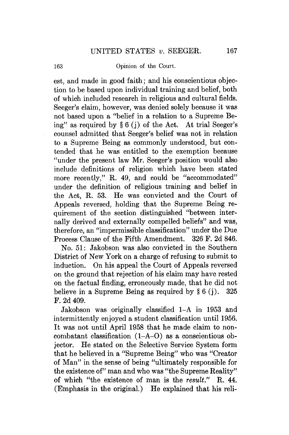est, and made in good faith; and his conscientious objection to be based upon individual training and belief, both of which included research in religious and cultural fields. Seeger's claim, however, was denied solely because it was not based upon a "belief in a relation to a Supreme Being" as required by § 6 (j) of the Act. At trial Seeger's counsel admitted that Seeger's belief was not in relation to a Supreme Being as commonly understood, but contended that he was entitled to the exemption because "under the present law Mr. Seeger's position would also include definitions of religion which have been stated more recently," R. 49, and could be "accommodated" under the definition of religious training and belief in the Act, R. 53. He was convicted and the Court of Appeals reversed, holding that the Supreme Being requirement of the section distinguished "between internally derived and externally compelled beliefs" and was, therefore, an "impermissible classification" under the Due Process Clause of the Fifth Amendment. 326 F. 2d 846.

No. 51: Jakobson was also convicted in the Southern District of New York on a charge of refusing to submit to induction. On his appeal the Court of Appeals reversed on the ground that rejection of his claim may have rested on the factual finding, erroneously made, that he did not believe in a Supreme Being as required by § 6 (j). 325 F. 2d 409.

Jakobson was originally classified 1-A in 1953 and intermittently enjoyed a student classification until 1956. It was not until April 1958 that he made claim to noncombatant classification (1-A-O) as a conscientious objector. He stated on the Selective Service System form that he believed in a "Supreme Being" who was "Creator of Man" in the sense of being "ultimately responsible for the existence of" man and who was "the Supreme Reality" of which "the existence of man is the *result."* R. 44. (Emphasis in the original.) He explained that his reli-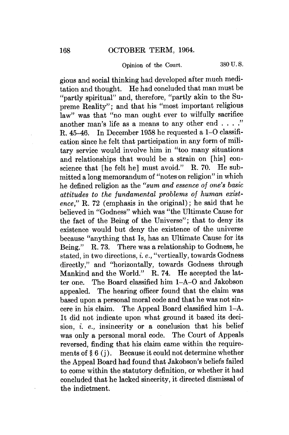gious and social thinking had developed after much meditation and thought. He had concluded that man must be "partly spiritual" and, therefore, "partly akin to the Supreme Reality"; and that his "most important religious law" was that "no man ought ever to wilfully sacrifice another man's life as a means to any other end . **.. ."** R. 45-46. In December 1958 he requested a 1-0 classification since he felt that participation in any form of military service would involve him in "too many situations and relationships that would be a strain on [his] conscience that [he felt he] must avoid." R. 70. He submitted a long memorandum of "notes on religion" in which he defined religion as the *"sum and essence of one's basic attitudes to the fundamental problems of human existence,"* R. 72 (emphasis in the original); he said that he believed in "Godness" which was "the Ultimate Cause for the fact of the Being of the Universe"; that to deny its existence would but deny the existence of the universe because "anything that Is, has an Ultimate Cause for its Being." R. 73. There was a relationship to Godness, he stated, in two directions, *i. e.,* "vertically, towards Godness directly," and "horizontally, towards Godness through Mankind and the World." R. 74. He accepted the latter one. The Board classified him 1-A-O and Jakobson appealed. The hearing officer found that the claim was based upon a personal moral code and that he was not sincere in his claim. The Appeal Board classified him 1-A. It did not indicate upon what ground it based its decision, *i. e.,* insincerity or a conclusion that his belief was only a personal moral code. The Court of Appeals reversed, finding that his claim came within the requirements of § 6 (j). Because it could not determine whether the Appeal Board had found that Jakobson's beliefs failed to come within the statutory definition, or whether it had concluded that he lacked sincerity, it directed dismissal of the indictment.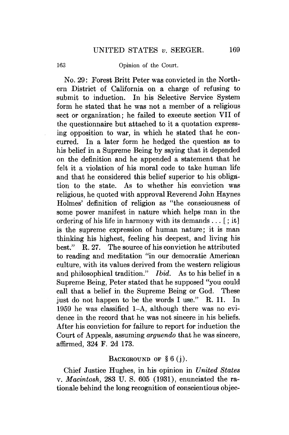No. 29: Forest Britt Peter was convicted in the Northern District of California on a charge of refusing to submit to induction. In his Selective Service System form he stated that he was not a member of a religious sect or organization; he failed to execute section VII of the questionnaire but attached to it a quotation expressing opposition to war, in which he stated that he concurred. In a later form he hedged the question as to his belief in a Supreme Being by saying that it depended on the definition and he appended a statement that he felt it a violation of his moral code to take human life and that he considered this belief superior to his obligation to the state. As to whether his conviction was religious, he quoted with approval Reverend John Haynes Holmes' definition of religion as "the consciousness of some power manifest in nature which helps man in the ordering of his life in harmony with its demands ... **[** ; it] is the supreme expression of human nature; it is man thinking his highest, feeling his deepest, and living his best." R. 27. The source of his conviction he attributed to reading and meditation "in our democratic American culture, with its values derived from the western religious and philosophical tradition." *Ibid.* As to his belief in a Supreme Being, Peter stated that he supposed "you could call that a belief in the Supreme Being or God. These just do not happen to be the words I use." R. 11. In 1959 he was classified 1-A, although there was no evidence in the record that he was not sincere in his beliefs. After his conviction for failure to report for induction the Court of Appeals, assuming *arguendo* that he was sincere, affirmed, 324 F. 2d 173.

# **BACKGROUND OF** § 6 **(j).**

Chief Justice Hughes, in his opinion in *United States v. Macintosh,* 283 U. **S.** 605 (1931), enunciated the rationale behind the long recognition of conscientious objec-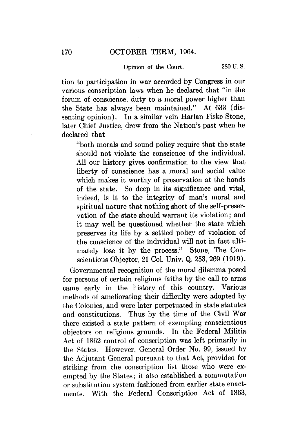tion to participation in war accorded by Congress in our various conscription laws when he declared that "in the forum of conscience, duty to a moral power higher than the State has always been maintained." At 633 (dissenting opinion). In a similar vein Harlan Fiske Stone, later Chief Justice, drew from the Nation's past when he declared that

"both morals and sound policy require that the state should not violate the conscience of the individual. All our history gives confirmation to the view that liberty of conscience has a moral and social value which makes it worthy of preservation at the hands of the state. So deep in its significance and vital, indeed, is it to the integrity of man's moral and spiritual nature that nothing short of the self-preservation of the state should warrant its violation; and it may well be questioned whether the state which preserves its life by a settled policy of violation of the conscience of the individual will not in fact ultimately lose it by the process." Stone, The Conscientious Objector, 21 Col. Univ. Q. 253, 269 (1919).

Governmental recognition of the moral dilemma posed for persons of certain religious faiths by the call to arms came early in the history of this country. Various methods of ameliorating their difficulty were adopted by the Colonies, and were later perpetuated in state statutes and constitutions. Thus by the time of the Civil War there existed a state pattern of exempting conscientious objectors on religious grounds. In the Federal Militia Act of 1862 control of conscription was left primarily in the States. However, General Order No. 99, issued by the Adjutant General pursuant to that Act, provided for striking from the conscription list those who were exempted by the States; it also established a commutation or substitution system fashioned from earlier state enactments. With the Federal Conscription Act of 1863,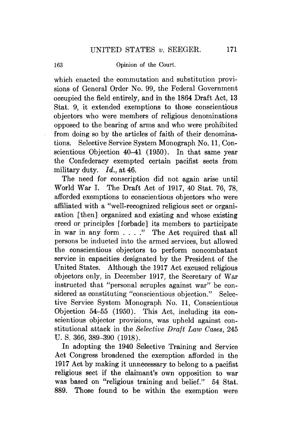which enacted the commutation and substitution provisions of General Order No. 99, the Federal Government occupied the field entirely, and in the 1864 Draft Act, 13 Stat. 9, it extended exemptions to those conscientious objectors who were members of religious denominations opposed to the bearing of arms and who were prohibited from doing so by the articles of faith of their denominations. Selective Service System Monograph No. 11, Conscientious Objection 40-41 (1950). In that same year the Confederacy exempted certain pacifist sects from military duty. *Id.,* at 46.

The need for conscription did not again arise until World War I. The Draft Act of 1917, 40 Stat. 76, 78, afforded exemptions to conscientious objectors who were affiliated with a "well-recognized religious sect or organization [then] organized and existing and whose existing creed or principles [forbade] its members to participate in war in any form . **. . .**" The Act required that all persons be inducted into the armed services, but allowed the conscientious objectors to perform noncombatant service in capacities designated by the President of the United States. Although the 1917 Act excused religious objectors only, in December 1917, the Secretary of War instructed that "personal scruples against war" be considered as constituting "conscientious objection." Selective Service System Monograph No. 11, Conscientious Objection 54-55 (1950). This Act, including its conscientious objector provisions, was upheld against constitutional attack in the *Selective Draft Law Cases, 245* U. **S.** 366, 389-390 (1918).

In adopting the 1940 Selective Training and Service Act Congress broadened the exemption afforded in the 1917 Act by making it unnecessary to belong to a pacifist religious sect if the claimant's own opposition to war was based on "religious training and belief." 54 Stat. 889. Those found to be within the exemption were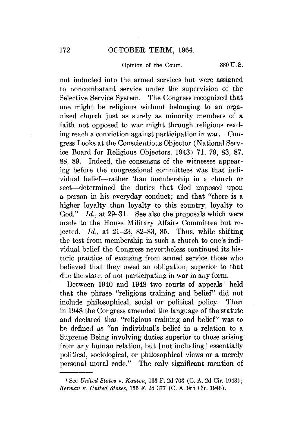not inducted into the armed services but were assigned to noncombatant service under the supervision of the Selective Service System. The Congress recognized that one might be religious without belonging to an organized church just as surely as minority members of a faith not opposed to war might through religious reading reach a conviction against participation in war. Congress Looks at the Conscientious Objector (National Service Board for Religious Objectors, 1943) 71, 79, 83, 87, 88, 89. Indeed, the consensus of the witnesses appearing before the congressional committees was that individual belief-rather than membership in a church or sect-determined the duties that God imposed upon a person in his everyday conduct; and that "there is a higher loyalty than loyalty to this country, loyalty to God." *Id.*, at 29–31. See also the proposals which were made to the House Military Affairs Committee but rejected. *Id.,* at 21-23, 82-83, 85. Thus, while shifting the test from membership in such a church to one's individual belief the Congress nevertheless continued its historic practice of excusing from armed service those who believed that they owed an obligation, superior to that due the state, of not participating in war in any form.

Between 1940 and 1948 two courts of appeals **1** held that the phrase "religious training and belief" did not include philosophical, social or political policy. Then in 1948 the Congress amended the language of the statute and declared that "religious training and belief" was to be defined as "an individual's belief in a relation to a Supreme Being involving duties superior to those arising from any human relation, but [not including] essentially political, sociological, or philosophical views or a merely personal moral code." The only significant mention of

**<sup>1</sup>** See *United States* v. *Kauten,* 133 F. 2d 703 (C. A. 2d Cir. 1943); *Berman* v. *United States,* 156 F. 2d 377 (C. A. 9th Cir. 1946).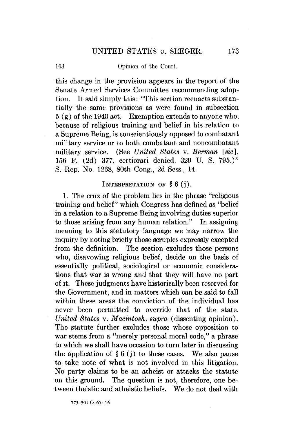this change in the provision appears in the report of the Senate Armed Services Committee recommending adoption. It said simply this: "This section reenacts substantially the same provisions as were found in subsection 5 (g) of the 1940 act. Exemption extends to anyone who, because of religious training and belief in his relation to a Supreme Being, is conscientiously opposed to combatant military service or to both combatant and noncombatant military service. (See *United States* v. *Berman [sic],* 156 F. (2d) 377, certiorari denied, 329 U. **S.** 795.)" S. Rep. No. 1268, 80th Cong., 2d Sess., 14.

# **INTERPRETATION OF § 6 (j).**

1. The crux of the problem lies in the phrase "religious training and belief" which Congress has defined as "belief in a relation to a Supreme Being involving duties superior to those arising from any human relation." In assigning meaning to this statutory language we may narrow the inquiry by noting briefly those scruples expressly excepted from the definition. The section excludes those persons who, disavowing religious belief, decide on the basis of essentially political, sociological or economic considerations that war is wrong and that they will have no part of it. These judgments have historically been reserved for the Government, and in matters which can be said to fall within these areas the conviction of the individual has never been permitted to override that of the state. *United States v. Macintosh, supra* (dissenting opinion). The statute further excludes those whose opposition to war stems from a "merely personal moral code," a phrase to which we shall have occasion to turn later in discussing the application of § 6 **(j)** to these cases. We also pause to take note of what is not involved in this litigation. No party claims to be an atheist or attacks the statute on this ground. The question is not, therefore, one between theistic and atheistic beliefs. We do not deal with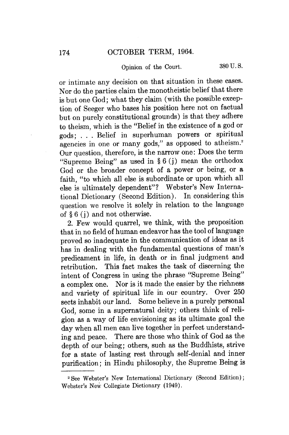or intimate any decision on that situation in these cases. Nor do the parties claim the monotheistic belief that there is but one God; what they claim (with the possible exception of Seeger who bases his position here not on factual but on purely constitutional grounds) is that they adhere to theism, which is the "Belief in the existence of a god or gods; **. .** . Belief in superhuman powers or spiritual agencies in one or many gods," as opposed to atheism.<sup>2</sup> Our question, therefore, is the narrow one: Does the term "Supreme Being" as used in § 6 (j) mean the orthodox God or the broader concept of a power or being, or a faith, "to which all else is subordinate or upon which all else is ultimately dependent"? Webster's New International Dictionary (Second Edition). In considering this question we resolve it solely in relation to the language of § 6 (j) and not otherwise.

2. Few would quarrel, we think, with the proposition that in no field of human endeavor has the tool of language proved so inadequate in the communication of ideas as it has in dealing with the fundamental questions of man's predicament in life, in death or in final judgment and retribution. This fact makes the task of discerning the intent of Congress in using the phrase "Supreme Being" a complex one. Nor is it made the easier by the richness and variety of spiritual life in our country. Over 250 sects inhabit our land. Some believe in a purely personal God, some in a supernatural deity; others think of religion as a way of life envisioning as its ultimate goal the day when all men can live together in perfect understanding and peace. There are those who think of God as the depth of our being; others, such as the Buddhists, strive for a state of lasting rest through self-denial and inner purification; in Hindu philosophy, the Supreme Being is

<sup>2</sup> See Webster's New International Dictionary (Second Edition); Webster's New\* Collegiate Dictionary (1949).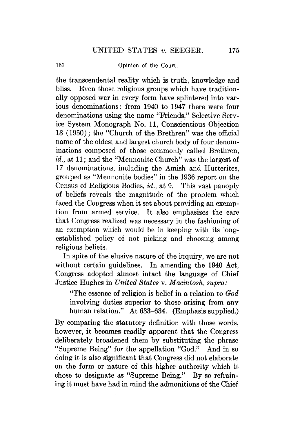the transcendental reality which is truth, knowledge and bliss. Even those religious groups which have traditionally opposed war in every form have splintered into various denominations: from 1940 to 1947 there were four denominations using the name "Friends," Selective Service System Monograph No. 11, Conscientious Objection 13 (1950); the "Church of the Brethren" was the official name of the oldest and largest church body of four denominations composed of those commonly called Brethren, *id.,* at 11; and the "Mennonite Church" was the largest of 17 denominations, including the Amish and Hutterites, grouped as "Mennonite bodies" in the 1936 report on the Census of Religious Bodies, *id.,* at 9. This vast panoply of beliefs reveals the magnitude of the problem which faced the Congress when it set about providing an exemption from armed service. It also emphasizes the care that Congress realized was necessary in the fashioning of an exemption which would be in keeping with its longestablished policy of not picking and choosing among religious beliefs.

In spite of the elusive nature of the inquiry, we are not without certain guidelines. In amending the 1940 Act, Congress adopted almost intact the language of Chief Justice Hughes in *United States v. Macintosh, supra:*

"The essence of religion is belief in a relation to *God* involving duties superior to those arising from any human relation." At 633-634. (Emphasis supplied.)

By comparing the statutory definition with those words, however, it becomes readily apparent that the Congress deliberately broadened them by substituting the phrase "Supreme Being" for the appellation "God." And in so doing it is also significant that Congress did not elaborate on the form or nature of this higher authority which it chose to designate as "Supreme Being." By so refraining it must have had in mind the admonitions of the Chief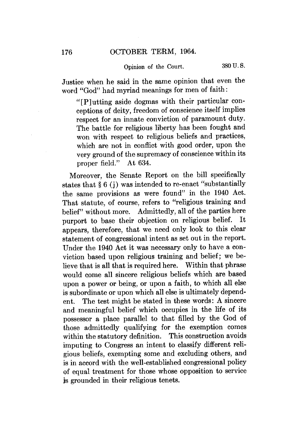Justice when he said in the same opinion that even the word "God" had myriad meanings for men of faith:

"[P]utting aside dogmas with their particular conceptions of deity, freedom of conscience itself implies respect for an innate conviction of paramount duty. The battle for religious liberty has been fought and won with respect to religious beliefs and practices, which are not in conflict with good order, upon the very ground of the supremacy of conscience within its proper field." At 634.

Moreover, the Senate Report on the bill specifically states that § 6 (j) was intended to re-enact "substantially the same provisions as were found" in the 1940 Act. That statute, of course, refers to "religious training and belief" without more. Admittedly, all of the parties here purport to base their objection on religious belief. It appears, therefore, that we need only look to this clear statement of congressional intent as set out in the report. Under the 1940 Act it was necessary only to have a conviction based upon religious training and belief; we believe that is all that is required here. Within that phrase would come all sincere religious beliefs which are based upon a power or being, or upon a faith, to which all else is subordinate or upon which all else is ultimately dependent. The test might be stated in these words: A sincere and meaningful belief which occupies in the life of its possessor a place parallel to that filled by the God of those admittedly qualifying for the exemption comes within the statutory definition. This construction avoids imputing to Congress an intent to classify different religious beliefs, exempting some and excluding others, and is in accord with the well-established congressional policy of equal treatment for those whose opposition to service is grounded in their religious tenets.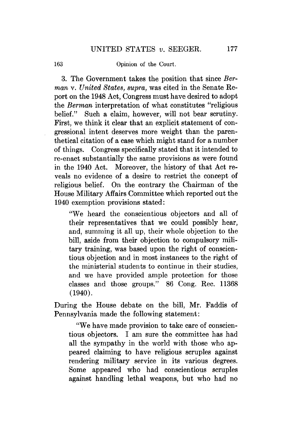3. The Government takes the position that since *Berman* v. *United States, supra,* was cited in the Senate Report on the 1948 Act, Congress must have desired to adopt the *Berman* interpretation of what constitutes "religious belief." Such a claim, however, will not bear scrutiny. First, we think it clear that an explicit statement of congressional intent deserves more weight than the parenthetical citation of a case which might stand for a number of things. Congress specifically stated that it intended to re-enact substantially the same provisions as were found in the 1940 Act. Moreover, the history of that Act reveals no evidence of a desire to restrict the concept of religious belief. On the contrary the Chairman of the House Military Affairs Committee which reported out the 1940 exemption provisions stated:

"We heard the conscientious objectors and all of their representatives that we could possibly hear, and, summing it all up, their whole objection to the bill, aside from their objection to compulsory military training, was based upon the right of conscientious objection and in most instances to the right of the ministerial students to continue in their studies, and we have provided ample protection for those classes and those groups." 86 Cong. Rec. 11368 (1940).

During the House debate on the bill, Mr. Faddis of Pennsylvania made the following statement:

"We have made provision to take care of conscientious objectors. I am sure the committee has had all the sympathy in the world with those who appeared claiming to have religious scruples against rendering military service in its various degrees. Some appeared who had conscientious scruples against handling lethal weapons, but who had no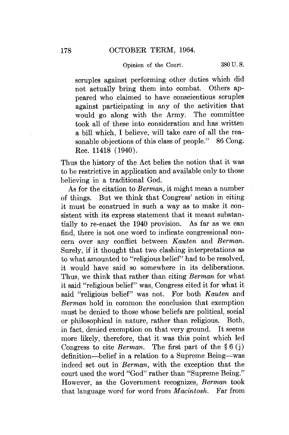scruples against performing other duties which did not actually bring them into combat. Others appeared who claimed to have conscientious scruples against participating in any of the activities that would go along with the Army. The committee took all of these into consideration and has written a bill which, I believe, will take care of all the reasonable objections of this class of people." 86 Cong. Rec. 11418 (1940).

Thus the history of the Act belies the notion that it was to be restrictive in application and available only to those believing in a traditional God.

As for the citation to *Berman,* it might mean a number of things. But we think that Congress' action in citing it must be construed in such a way as to make it consistent with its express statement that it meant substantially to re-enact the 1940 provision. As far as we can find, there is not one word to indicate congressional concern over any conflict between *Kauten* and *Berman.* Surely, if it thought that two clashing interpretations as to what amounted to "religious belief" had to be resolved, it would have said so somewhere in its deliberations. Thus, we think that rather than citing *Berman* for what it said "religious belief" was, Congress cited it for what it said "religious belief" was not. For both *Kauten* and *Berman* hold in common the conclusion that exemption must be denied to those whose beliefs are political, social or philosophical in nature, rather than religious. Both, in fact, denied exemption on that very ground. It seems more likely, therefore, that it was this point which led Congress to cite *Berman.* The first part of the § 6 (j) definition-belief in a relation to a Supreme Being-was indeed set out in *Berman,* with the exception that the court used the word "God" rather than "Supreme Being." However, as the Government recognizes, *Berman* took that language word for word from *Macintosh.* Far from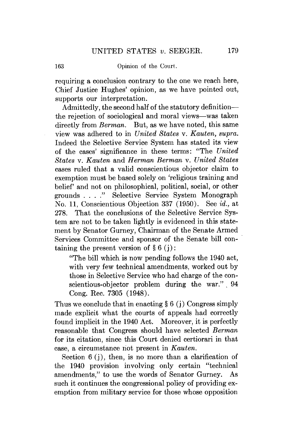requiring a conclusion contrary to the one we reach here, Chief Justice Hughes' opinion, as we have pointed out, supports our interpretation.

Admittedly, the second half of the statutory definitionthe rejection of sociological and moral views-was taken directly from *Berman*. But, as we have noted, this same view was adhered to in *United States* v. *Kauten, supra.* Indeed the Selective Service System has stated its view of the cases' significance in these terms: "The *United States* v. *Kauten* and *Herman Berman* v. *United States* cases ruled that a valid conscientious objector claim to exemption must be based solely on 'religious training and belief' and not on philosophical, political, social, or other grounds . **. . ."** Selective Service System Monograph No. 11, Conscientious Objection 337 (1950). See *id.,* at 278. That the conclusions of the Selective Service System are not to be taken lightly is evidenced in this statement by Senator Gurney, Chairman of the Senate Armed Services Committee and sponsor of the Senate bill containing the present version of  $\S 6$  (j):

"The bill which. is now pending follows the 1940 act, with very few technical amendments, worked out by those in Selective Service who had charge of the conscientious-objector problem during the war." 94 Cong. Rec. 7305 (1948).

Thus we conclude that in enacting § 6 (j) Congress simply made explicit what the courts of appeals had correctly found implicit in the 1940 Act. Moreover, it is perfectly reasonable that Congress should have selected *Berman* for its citation, since this Court denied certiorari in that case, a circumstance not present in *Kauten.*

Section 6 (j), then, is no more than a clarification of the 1940 provision involving only certain "technical amendments," to use the words of Senator Gurney. As such it continues the congressional policy of providing exemption from military service for those whose opposition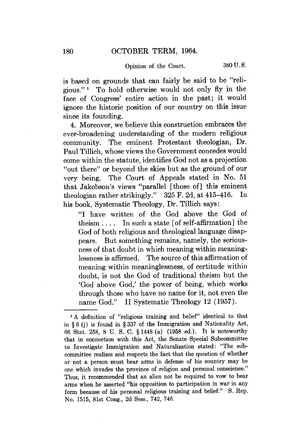is based on grounds that can fairly be said to be "religious." **<sup>I</sup>**To hold otherwise would not only fly in the face of Congress' entire action in the past; it would ignore the historic position of our country on this issue since its founding.

4. Moreover, we believe this construction embraces the ever-broadening understanding of the modern religious community. The eminent Protestant theologian, Dr. Paul Tillich, whose views the Government concedes would come within the statute, identifies God not as a projection "out there" or beyond the skies but as the ground of our very being. The Court of Appeals stated in No. 51 that Jakobson's views "parallel [those of] this eminent theologian rather strikingly." 325 F. 2d, at 415-416. In his book, Systematic Theology, Dr. Tillich says:

"I have, written of the God above the God of theism .... In such a state [of self-affirmation] the God of both religious and theological language disappears. But something remains, namely, the seriousness of that doubt in which meaning within meaninglessness is affirmed. The source of this affirmation of meaning within meaninglessness, of certitude within doubt, is not the God of traditional theism but the 'God above God,' the power of being, which works through those who have no name for it, not even the name God." II Systematic Theology 12 (1957).

A definition of "religious training and belief" identical to that in § 6 **(j)** is found in § 337 of the Immigration and Nationality Act, 66 Stat. 258, 8 U. S. C. § 1448 (a) (1958 ed.). It is noteworthy that in connection with this Act, the Senate Special Subcommittee to Investigate Immigration and Naturalization stated: "The subcommittee realizes and respects the fact that the question of whether or not a person must bear arms in defense of his country may be one which invades the province of religion and personal conscience." Thus, it recommended that an alien not be required to vow to bear arms when he asserted "his opposition to participation in war in any form because of his personal religious training and belief." S. Rep. No. 1515, 81st Cong., 2d Sess., 742, 746.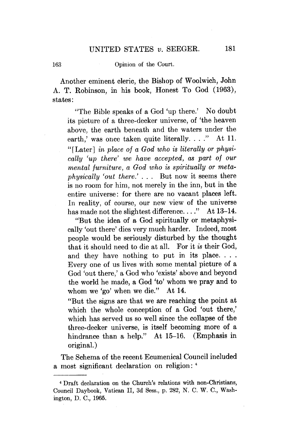Another eminent cleric, the Bishop of Woolwich, John A. T. Robinson, in his book, Honest To God (1963), states:

"The Bible speaks of a God 'up there.' No doubt its picture of a three-decker universe, of 'the heaven above, the earth beneath and the waters under the earth,' was once taken quite literally. . . **."** At 11. "[Later] *in place of a God who is literally or physically 'up there' we have accepted, as part of our mental furniture, a God who is spiritually or metaphysically 'out there.'* . . . But now it seems there is no room for him, not merely in the inn, but in the entire universe: for there are no vacant places left. In reality, of course, our new view of the universe has made not the slightest difference...." At  $13-14$ .

"But the idea of a God spiritually or metaphysically 'out there' dies very much harder. Indeed, most people would be seriously disturbed by the thought that it should need to die at all. For it *is* their God, and they have nothing to put in its place. . . . Every one of us lives with some mental picture of a God 'out there,' a God who 'exists' above and beyond the world he made, a God 'to' whom we pray and to whom we 'go' when we die." At 14.

"But the signs are that we are reaching the point at which the whole conception of a God 'out there,' which has served us so well since the collapse of the three-decker universe, is itself becoming more of a hindrance than a help." At 15-16. (Emphasis in original.)

The Schema of the recent Ecumenical Council included a most significant declaration on religion:

<sup>4</sup> Draft declaration on the Church's relations with non-Christians, Council Daybook, Vatican II, 3d Sess., p. 282, N. C. W. C., Washington, D. C., 1965.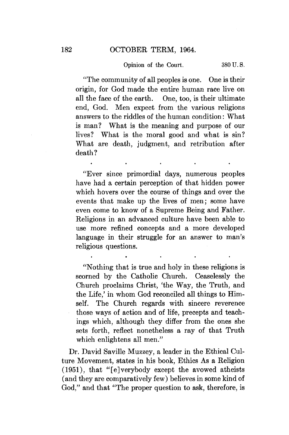"The community of all peoples is one. One is their origin, for God made the entire human race live on all the face of the earth. One, too, is their ultimate end, God. Men expect from the various religions answers to the riddles of the human condition: What is man? What is the meaning and purpose of our lives? What is the moral good and what is sin? What are death, judgment, and retribution after death?

"Ever since primordial days, numerous peoples have had a certain perception of that hidden power which hovers over the course of things and over the events that make up the lives of men; some have even come to know of a Supreme Being and Father. Religions in an advanced culture have been able to use more refined concepts and a more developed language in their struggle for an answer to man's religious questions.

"Nothing that is true and holy in these religions is scorned by the Catholic Church. Ceaselessly the Church proclaims Christ, 'the Way, the Truth, and the Life,' in whom God reconciled all things to Himself. The Church regards with sincere reverence those ways of action and of life, precepts and teachings which, although they differ from the ones she sets forth, reflect nonetheless a ray of that Truth which enlightens all men."

Dr. David Saville Muzzey, a leader in the Ethical Culture Movement, states in his book, Ethics As a Religion (1951), that "[elverybody except the avowed atheists (and they are comparatively few) believes in some kind of God," and that "The proper question to ask, therefore, is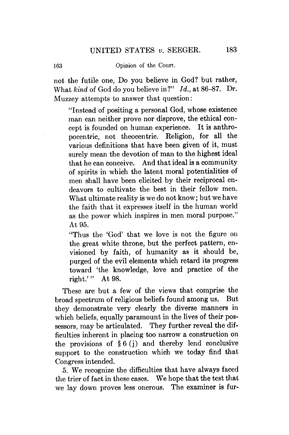not the futile one, Do you believe in God? but rather, What *kind* of God do you believe in?" *Id.,* at 86-87. Dr. Muzzey attempts to answer that question:

"Instead of positing a personal God, whose existence man can neither prove nor disprove, the ethical concept is founded on human experience. It is anthropocentric, not theocentric. Religion, for all the various definitions that have been given of it, must surely mean the devotion of man to the highest ideal that he can conceive. And that ideal is a community of spirits in which the latent moral potentialities of men shall have been elicited by their reciprocal endeavors to cultivate the best in their fellow men. What ultimate reality is we do not know; but we have the faith that it expresses itself in the human world as the power which inspires in men moral purpose." At 95.

"Thus the 'God' that we love is not the figure on the great white throne, but the perfect pattern, envisioned by faith, of humanity as it should be, purged of the evil elements which retard its progress toward 'the knowledge, love and practice of the right.' " At 98.

These are but a few of the views that comprise the broad spectrum of religious beliefs found among us. But they demonstrate very clearly the diverse manners in which beliefs, equally paramount in the lives of their possessors, may be articulated. They further reveal the difficulties inherent in placing too narrow a construction on the provisions of  $\S 6$  (j) and thereby lend conclusive support to the construction which we today find that Congress intended.

5. We recognize the difficulties that have always faced the trier of fact in these cases. We hope that the test that we lay down proves less onerous. The examiner is fur-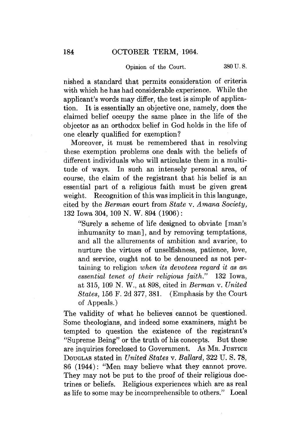nished a standard that permits consideration of criteria with which he has had considerable experience. While the applicant's words may differ, the test is simple of application. It is essentially an objective one, namely, does the claimed belief occupy the same place in the life of the objector as an orthodox belief in God holds in the life of one clearly qualified for exemption?

Moreover, it must be remembered that in resolving these exemption problems one deals with the beliefs of different individuals who will articulate them in a multitude of ways. In such an intensely personal area, of course, the claim of the registrant that his belief is an essential part of a religious faith must be given great weight. Recognition of this was implicit in this language, cited by the *Berman* court from *State* v. *Amana Society,* 132 Iowa 304, 109 N. W. 894 (1906):

"Surely a scheme of life designed to obviate [man's inhumanity to man], and by removing temptations, and all the allurements of ambition and avarice, to nurture the virtues of unselfishness, patience, love, and service, ought not to be denounced as not pertaining to religion *when its devotees regard it as an essential tenet of their religious faith."* 132 Iowa, at 315, 109 N. W., at 898, cited in *Berman* v. *United States,* 156 F. 2d 377, 381. (Emphasis by the Court of Appeals.)

The validity of what he believes cannot be questioned. Some theologians, and indeed some examiners, might be tempted to question the existence of the registrant's "Supreme Being" or the truth of his concepts. But these are inquiries foreclosed to Government. As **MR. JUSTICE** DOUGLAS stated in *United States* v. *Ballard,* 322 U. **S.** 78, 86 (1944): "Men may believe what they cannot prove. They may not be put to the proof of their religious doctrines or beliefs. Religious experiences which are as real as life to some may be incomprehensible to others." Local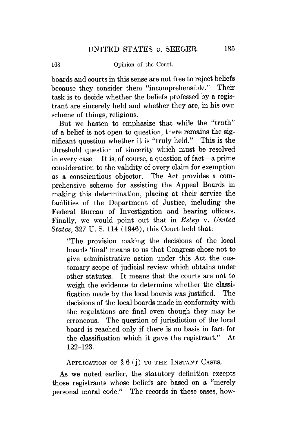boards and courts in this sense are not free to reject beliefs because they consider them "incomprehensible." Their task is to decide whether the beliefs professed by a registrant are sincerely held and whether they are, in his own scheme of things, religious.

But we hasten to emphasize that while the "truth" of a belief is not open to question, there remains the significant question whether it is "truly held." This is the threshold question of sincerity which must be resolved in every case. It is, of course, a question of fact-a prime consideration to the validity of every claim for exemption as a conscientious objector. The Act provides a comprehensive scheme for assisting the Appeal Boards in making this determination, placing at their service the facilities of the Department of Justice, including the Federal Bureau of Investigation and hearing officers. Finally, we would point out that in *Estep* v. *United States,* 327 U. S. 114 (1946), this Court held that:

"The provision making the decisions of the local boards 'final' means to us that Congress chose not to give administrative action under this Act the customary scope of judicial review which obtains under other statutes. It means that the courts are not to weigh the evidence to determine whether the classification made by the local boards was justified. The decisions of the local boards made in conformity with the regulations are final even though they may be erroneous. The question of jurisdiction of the local board is reached only if there is no basis in fact for the classification which it gave the registrant." At 122-123.

APPLICATION OF § 6 (j) TO THE **INSTANT CASES.**

As we noted earlier, the statutory definition excepts those registrants whose beliefs are based on a "merely personal moral code." The records in these cases, how-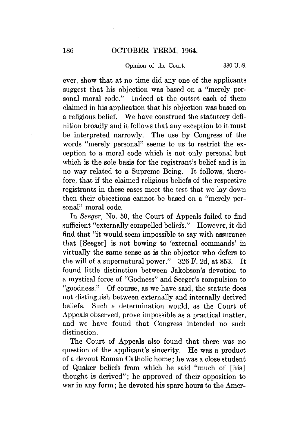ever, show that at no time did any one of the applicants suggest that his objection was based on a "merely personal moral code." Indeed at the outset each of them claimed in his application that his objection was based on a religious belief. We have construed the statutory definition broadly and it follows that any exception to it must be interpreted narrowly. The use by Congress of the words "merely personal" seems to us to restrict the exception to a moral code which is not only personal but which is the sole basis for the registrant's belief and is in no way related to a Supreme Being. It follows, therefore, that if the claimed religious beliefs of the respective registrants in these cases meet the test that we lay down then their objections cannot be based on a "merely personal" moral code.

In Seeger, No. 50, the Court of Appeals failed to find sufficient "externally compelled beliefs." However, it did find that "it would seem impossible to say with assurance that [Seeger] is not bowing to 'external commands' in virtually the same sense as is the objector who defers to the will of a supernatural power." 326 F. 2d, at 853. It found little distinction between Jakobson's devotion to a mystical force of "Godness" and Seeger's compulsion to "goodness." Of course, as we have said, the statute does not distinguish between externally and internally derived beliefs. Such a determination would, as the Court of Appeals observed, prove impossible as a practical matter, and we have found that Congress intended no such distinction.

The Court of Appeals also found that there was no question of the applicant's sincerity. He was a product of a devout Roman Catholic home; he was a close student of Quaker beliefs from which he said "much of [his] thought is derived"; he approved of their opposition to war in any form; he devoted his spare hours to the Amer-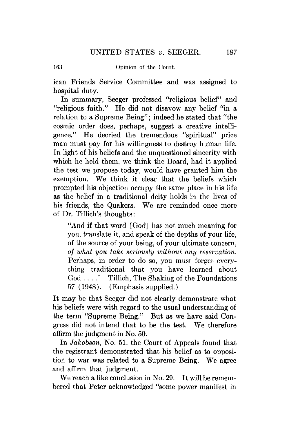ican Friends Service Committee and was assigned to hospital duty.

In summary, Seeger professed "religious belief" and "religious faith." He did not disavow any belief "in a relation to a Supreme Being"; indeed he stated that "the cosmic order does, perhaps, suggest a creative intelligence." He decried the tremendous "spiritual" price man must pay for his willingness to destroy human life. In light of his beliefs and the unquestioned sincerity with which he held them, we think the Board, had it applied the test we propose today, would have granted him the exemption. We think it clear that the beliefs which prompted his objection occupy the same place in his life as the belief in a traditional deity holds in the lives of his friends, the Quakers. We are reminded once more of Dr. Tillich's thoughts:

"And if that word [God] has not much meaning for you, translate it, and speak of the depths of your life, of the source of your being, of your ultimate concern, *of what you take seriously without any reservation.* Perhaps, in order to do so, you must forget everything traditional that you have learned about God .... **."** Tillich, The Shaking of the Foundations 57 (1948). (Emphasis supplied.)

It may be that Seeger did not clearly demonstrate what his beliefs were with regard to the usual understanding of the term "Supreme Being." But as we have said Congress did not intend that to be the test. We therefore affirm the judgment in No. 50.

In *Jakobson,* No. 51, the Court of Appeals found that the registrant demonstrated that his belief as to opposition to war was related to a Supreme Being. We agree and affirm that judgment.

We reach a like conclusion in No. 29. It will be remembered that Peter acknowledged "some power manifest in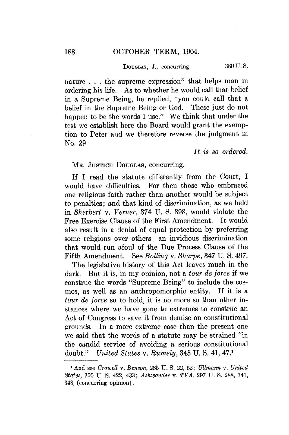**DOUGLAS,** J., concurring. **380** U. S.

nature . . . the supreme expression" that helps man in ordering his life. As to whether he would call that belief in a Supreme Being, he replied, "you could call that a belief in the Supreme Being or God. These just do not happen to be the words I use." We think that under the test we establish here the Board would grant the exemption to Peter and we therefore reverse the judgment in No. 29.

*It is so ordered.*

# MR. **JUSTICE DOUGLAS,** concurring.

If I read the statute differently from the Court, I would have difficulties. For then those who embraced one religious faith rather than another would be subject to penalties; and that kind of discrimination, as we held in *Sherbert v. Verner,* 374 U. S. 398, would violate the Free Exercise Clause of the First Amendment. It would also result in a denial of equal protection by preferring some religions over others—an invidious discrimination that would run afoul of the Due Process Clause of the Fifth Amendment. See *Bolling v. Sharpe,* 347 U. **S.** 497.

The legislative history of this Act leaves much in the dark. But it is, in my opinion, not a *tour de force* if we construe the words "Supreme Being" to include the cosmos, as well as an anthropomorphic entity. If it is a *tour de force* so to hold, it is no more so than other instances where we have gone to extremes to construe an Act of Congress to save it from demise on constitutional grounds. In a more extreme case than the present one we said that the words of a statute may be strained "in the candid service of avoiding a serious constitutional doubt." *United States* v. *Rumely,* 345 U. **S.** 41, 47.1

**<sup>1</sup>** And see *Crowell v. Benson,* 285 U. S. 22, 62; *Ullmann* v. *United States,* 350 U. S. 422, 433; *Ashwander v. TVA,* 297 U. S. 288, 341, 348. (concurring opinion).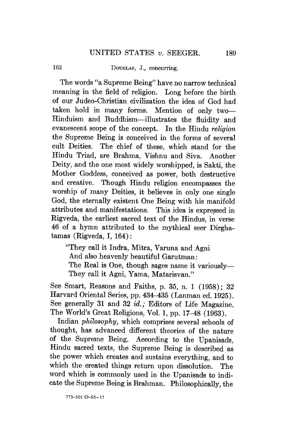# 163 DOUGLAS, J., concurring.

The words "a Supreme Being" have no narrow technical meaning in the field of religion. Long before the birth of our Judeo-Christian, civilization the idea of God had taken hold in many forms. Mention of only two-Hinduism and Buddhism-illustrates the fluidity and evanescent scope of the concept. In the Hindu *religion* the Supreme Being is conceived in the forms of several cult Deities. The chief of these, which stand for the Hindu Triad, are Brahma, Vishnu and Siva. Another Deity, and the one most widely worshipped, is Sakti, the Mother Goddess, conceived as power, both destructive and creative. Though Hindu religion encompasses the worship of many Deities, it believes in only one single God, the eternally existent One Being with his manifold attributes and manifestations. This idea is expressed in Rigveda, the earliest sacred text of the Hindus, in verse 46 of a hymn attributed to the mythical seer Dirghatamas (Rigveda, *1,* 164):

"They call it Indra, Mitra, Varuna and Agni And also heavenly beautiful Garutman: The Real is One, though sages name it variously— They call it Agni, Yama, Matarisvan."

See Smart, Reasons and Faiths, p. 35, n. 1 (1958); 32 Harvard Oriental Series, pp. 434-435 (Lanman ed. 1925). See generally 31 and 32 *id.;* Editors of Life Magazine, The World's Great Religions, Vol. 1, pp. 17-48 (1963).

Indian *philosophy,* which comprises several schools of thought, has advanced different theories of the nature of the Supreme Being. According to the Upanisads, Hindu sacred texts, the Supreme Being is described as the power which creates and sustains everything, and to which the created things return upon dissolution. The word which is commonly used in the Upanisads to indicate the Supreme Being is Brahman. Philosophically, the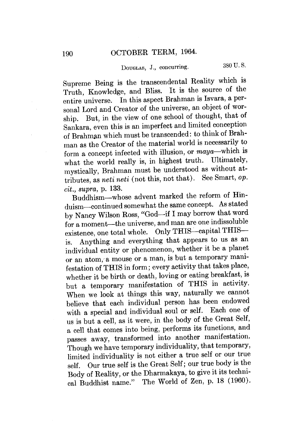# 190 OCTOBER TERM, 1964.

# **DOUGLAS,** J., concurring. 380 U. S.

Supreme Being is the transcendental Reality which is Truth, Knowledge, and Bliss. It is the source of the entire universe. In this aspect Brahman is Isvara, a personal Lord and Creator of the universe, an object of worship. But, in the view of one school of thought, that of Sankara, even this is an imperfect and limited conception of Brahman which must be transcended: to think of Brahman as the Creator of the material world is necessarily to form a concept infected with illusion, or maya-which is what the world really is, in highest truth. Ultimately, mystically, Brahman must be understood as without attributes, as *neti neti* (not this, not that). See Smart, *op. cit., supra,* p. 133.

Buddhism-whose advent marked the reform of Hinduism-continued somewhat the same concept. As stated by Nancy Wilson Ross, "God-if I may borrow that word for a moment-the universe, and man are one indissoluble existence, one total whole. Only THIS-capital THISis. Anything and everything that appears to us as an individual entity or phenomenon, whether it be a planet or an atom, a mouse or a man, is but a temporary manifestation of THIS in form; every activity that takes place, whether it be birth or death, loving or eating breakfast, is but a temporary manifestation of THIS in activity. When we look at things this way, naturally we cannot believe that each individual person has been endowed with a special and individual soul or self. Each one of us is but a cell, as it were, in the body of the Great Self, a cell that comes into being, performs its functions, and passes away, transformed into another manifestation. Though we have temporary individuality, that temporary, limited individuality is not either a true self or our true self. Our true self is the Great Self; our true body is the Body of Reality, or the Dharmakaya, to give it its technical Buddhist name." The World of Zen, p. 18 (1960).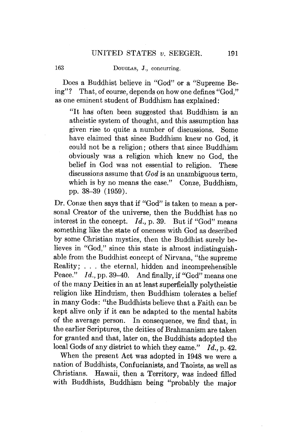#### 163 DOUGLAS, J., concurring.

Does a Buddhist believe in "God" or a "Supreme Being"? That, of course, depends on how one defines "God," as one eminent student of Buddhism has explained:

"It has often been suggested that Buddhism is an atheistic system of thought, and this assumption has given rise to quite a number of discussions. Some have claimed that since Buddhism knew no God, it could not be a religion; others that since Buddhism obviously was a religion which knew no God, the belief in God was not essential to religion. These discussions assume that *God* is an unambiguous term, which is by no means the case." Conze, Buddhism, pp. 38-39 (1959).

Dr. Conze then says that if "God" is taken to mean a personal Creator of the universe, then the Buddhist has no interest in the concept. *Id.,* p. 39. But if "God" means something like the state of oneness with God as described by some Christian mystics, then the Buddhist surely believes in "God," since this state is almost indistinguishable from the Buddhist concept of Nirvana, "the supreme Reality; ... the eternal, hidden and incomprehensible Peace." *Id.*, pp. 39–40. And finally, if "God" means one of the many Deities in an at least superficially polytheistic religion like Hinduism, then Buddhism tolerates a belief in many Gods: "the Buddhists believe that a Faith can be kept alive only if it can be adapted to the mental habits of the average person. In consequence, we find that, in the earlier Scriptures, the deities of Brahmanism are taken for granted and that, later on, the Buddhists adopted the local Gods of any district to which they came." *Id.,* p. 42.

When the present Act was adopted in 1948 we were a nation of Buddhists, Confucianists, and Taoists, as well as Christians. Hawaii, then a Territory, was indeed filled with Buddhists, Buddhism being "probably the major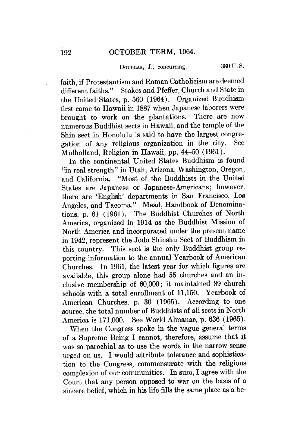# **DOUGLAS,** J., concurring. 380 U. S.

faith, if Protestantism and Roman Catholicism are deemed different faiths." Stokes and Pfeffer, Church and State in the United States, p. 560 (1964). Organized Buddhism first came to Hawaii in 1887 when Japanese laborers were brought to work on the plantations. There are now numerous Buddhist sects in Hawaii, and the temple of the Shin sect in Honolulu is said to have the largest congregation of any religious organization in the city. See Mulholland, Religion in Hawaii, pp. 44-50 (1961).

In the continental United States Buddhism is found "in real strength" in Utah, Arizona, Washington, Oregon, and California. "Most of the Buddhists in the United States are Japanese or Japanese-Americans; however, there are 'English' departments in San Francisco, Los Angeles, and Tacoma." Mead, Handbook of Denominations, p. 61 (1961). The Buddhist Churches of North America, organized in 1914 as the Buddhist Mission of North America and incorporated under the present name in 1942, represent the Jodo Shinshu Sect of Buddhism in this country. This sect is the only Buddhist group reporting information to the annual Yearbook of American Churches. In 1961, the latest year for which figures are available, this group alone had 55 churches and an inclusive membership of 60,000; it maintained 89 church schools with a total enrollment of 11,150. Yearbook of American Churches, p. 30 (1965). According to one source, the total number of Buddhists of all sects in North America is 171,000. See World Almanac, p. 636 (1965).

When the Congress spoke in the vague general terms of a Supreme Being I cannot, therefore, assume that it was so parochial as to use the words in the narrow sense urged on us. I would attribute tolerance and sophistication to the Congress, commensurate with the religious complexion of our communities. In sum, I agree with the Court that any person opposed to war on the basis of a sincere belief, which in his life fills the same place as a be-